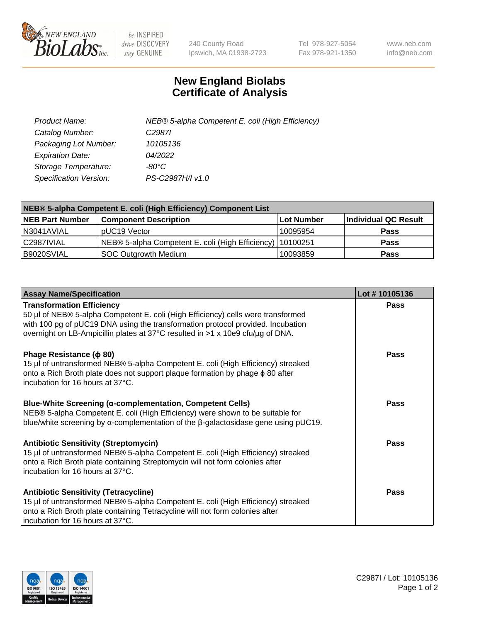

 $be$  INSPIRED drive DISCOVERY stay GENUINE

240 County Road Ipswich, MA 01938-2723 Tel 978-927-5054 Fax 978-921-1350 www.neb.com info@neb.com

## **New England Biolabs Certificate of Analysis**

| Product Name:           | NEB® 5-alpha Competent E. coli (High Efficiency) |
|-------------------------|--------------------------------------------------|
| Catalog Number:         | C <sub>2987</sub>                                |
| Packaging Lot Number:   | 10105136                                         |
| <b>Expiration Date:</b> | 04/2022                                          |
| Storage Temperature:    | -80°C                                            |
| Specification Version:  | PS-C2987H/I v1.0                                 |

| NEB® 5-alpha Competent E. coli (High Efficiency) Component List |                                                             |            |                      |  |
|-----------------------------------------------------------------|-------------------------------------------------------------|------------|----------------------|--|
| <b>NEB Part Number</b>                                          | <b>Component Description</b>                                | Lot Number | Individual QC Result |  |
| N3041AVIAL                                                      | pUC19 Vector                                                | 10095954   | <b>Pass</b>          |  |
| C2987IVIAL                                                      | NEB® 5-alpha Competent E. coli (High Efficiency)   10100251 |            | <b>Pass</b>          |  |
| B9020SVIAL                                                      | SOC Outgrowth Medium                                        | 10093859   | <b>Pass</b>          |  |

| <b>Assay Name/Specification</b>                                                                                                                                                                                                                                                           | Lot #10105136 |
|-------------------------------------------------------------------------------------------------------------------------------------------------------------------------------------------------------------------------------------------------------------------------------------------|---------------|
| <b>Transformation Efficiency</b><br>50 µl of NEB® 5-alpha Competent E. coli (High Efficiency) cells were transformed<br>with 100 pg of pUC19 DNA using the transformation protocol provided. Incubation<br>overnight on LB-Ampicillin plates at 37°C resulted in >1 x 10e9 cfu/µg of DNA. | <b>Pass</b>   |
| Phage Resistance ( $\phi$ 80)<br>15 µl of untransformed NEB® 5-alpha Competent E. coli (High Efficiency) streaked<br>onto a Rich Broth plate does not support plaque formation by phage $\phi$ 80 after<br>incubation for 16 hours at 37°C.                                               | Pass          |
| Blue-White Screening (α-complementation, Competent Cells)<br>NEB® 5-alpha Competent E. coli (High Efficiency) were shown to be suitable for<br>blue/white screening by $\alpha$ -complementation of the $\beta$ -galactosidase gene using pUC19.                                          | Pass          |
| <b>Antibiotic Sensitivity (Streptomycin)</b><br>15 µl of untransformed NEB® 5-alpha Competent E. coli (High Efficiency) streaked<br>onto a Rich Broth plate containing Streptomycin will not form colonies after<br>incubation for 16 hours at 37°C.                                      | Pass          |
| <b>Antibiotic Sensitivity (Tetracycline)</b><br>15 µl of untransformed NEB® 5-alpha Competent E. coli (High Efficiency) streaked<br>onto a Rich Broth plate containing Tetracycline will not form colonies after<br>incubation for 16 hours at 37°C.                                      | <b>Pass</b>   |